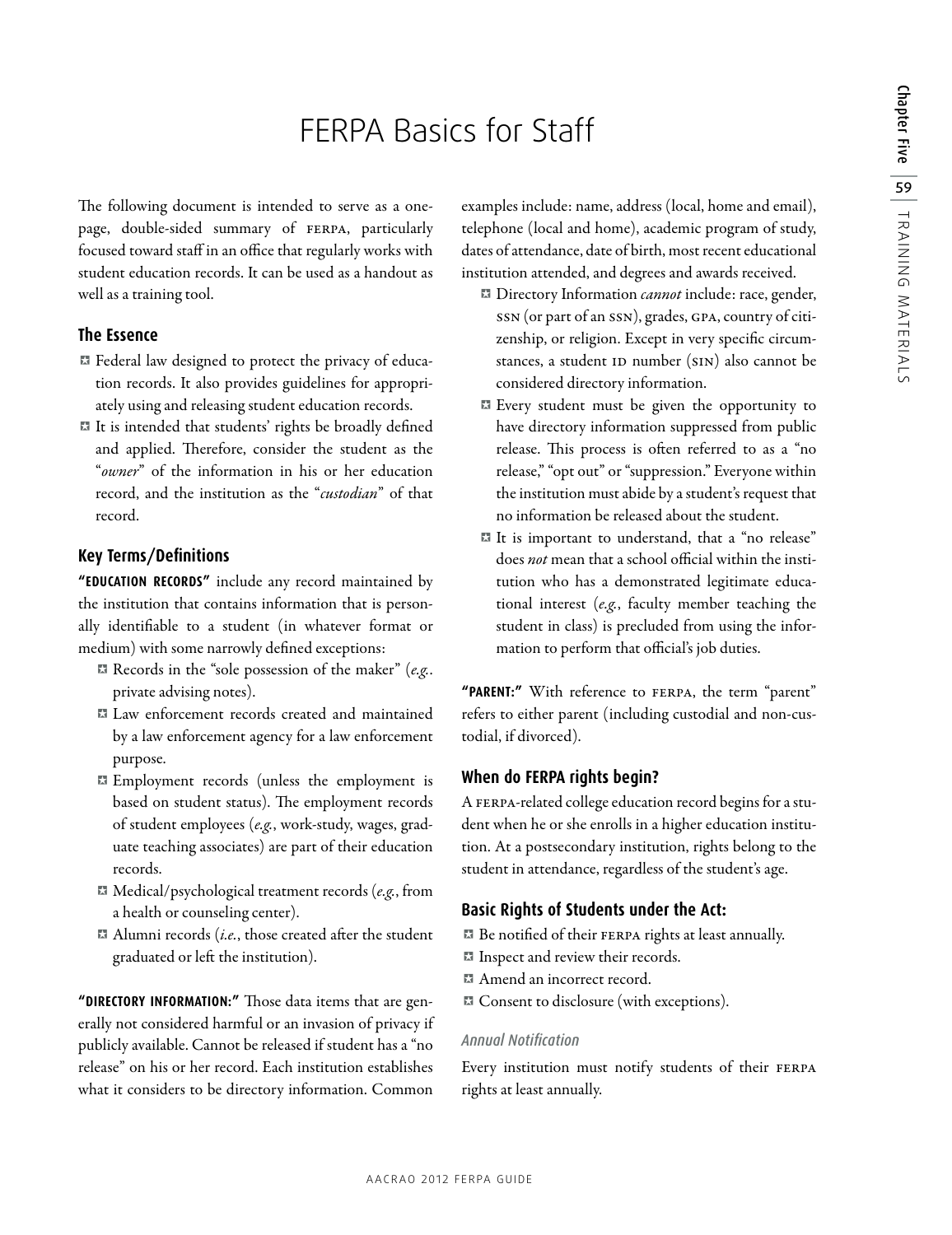# FERPA Basics for Staff

The following document is intended to serve as a onepage, double-sided summary of FERPA, particularly focused toward staff in an office that regularly works with student education records. It can be used as a handout as well as a training tool.

### **The Essence**

- <sup>X</sup> Federal law designed to protect the privacy of education records. It also provides guidelines for appropriately using and releasing student education records.
- <sup>X</sup> It is intended that students' rights be broadly defined and applied. Therefore, consider the student as the "*owner*" of the information in his or her education record, and the institution as the "*custodian*" of that record.

## **Key Terms/Definitions**

**"EDUCATION RECORDS"** include any record maintained by the institution that contains information that is personally identifiable to a student (in whatever format or medium) with some narrowly defined exceptions:

- <sup>X</sup> Records in the "sole possession of the maker" (*e.g.*. private advising notes).
- <sup>X</sup> Law enforcement records created and maintained by a law enforcement agency for a law enforcement purpose.
- <sup>X</sup> Employment records (unless the employment is based on student status). The employment records of student employees (*e.g.*, work-study, wages, graduate teaching associates) are part of their education records.
- <sup>X</sup> Medical/psychological treatment records (*e.g.*, from a health or counseling center).
- <sup>X</sup> Alumni records (*i.e.*, those created after the student graduated or left the institution).

**"DIRECTORY INFORMATION:"** Those data items that are generally not considered harmful or an invasion of privacy if publicly available. Cannot be released if student has a "no release" on his or her record. Each institution establishes what it considers to be directory information. Common

examples include: name, address (local, home and email), telephone (local and home), academic program of study, dates of attendance, date of birth, most recent educational institution attended, and degrees and awards received.

- <sup>X</sup> Directory Information *cannot* include: race, gender, SSN (or part of an SSN), grades, GPA, country of citizenship, or religion. Except in very specific circumstances, a student ID number (SIN) also cannot be considered directory information.
- <sup>X</sup> Every student must be given the opportunity to have directory information suppressed from public release. This process is often referred to as a "no release," "opt out" or "suppression." Everyone within the institution must abide by a student's request that no information be released about the student.
- <sup>X</sup> It is important to understand, that a "no release" does *not* mean that a school official within the institution who has a demonstrated legitimate educational interest (*e.g.*, faculty member teaching the student in class) is precluded from using the information to perform that official's job duties.

**"PARENT:"** With reference to FERPA, the term "parent" refers to either parent (including custodial and non-custodial, if divorced).

## **When do FERPA rights begin?**

A FERPA-related college education record begins for a student when he or she enrolls in a higher education institution. At a postsecondary institution, rights belong to the student in attendance, regardless of the student's age.

## **Basic Rights of Students under the Act:**

<sup>X</sup> Be notified of their FERPA rights at least annually.

- Inspect and review their records.
- **X** Amend an incorrect record.
- **X** Consent to disclosure (with exceptions).

#### *Annual Notification*

Every institution must notify students of their FERPA rights at least annually.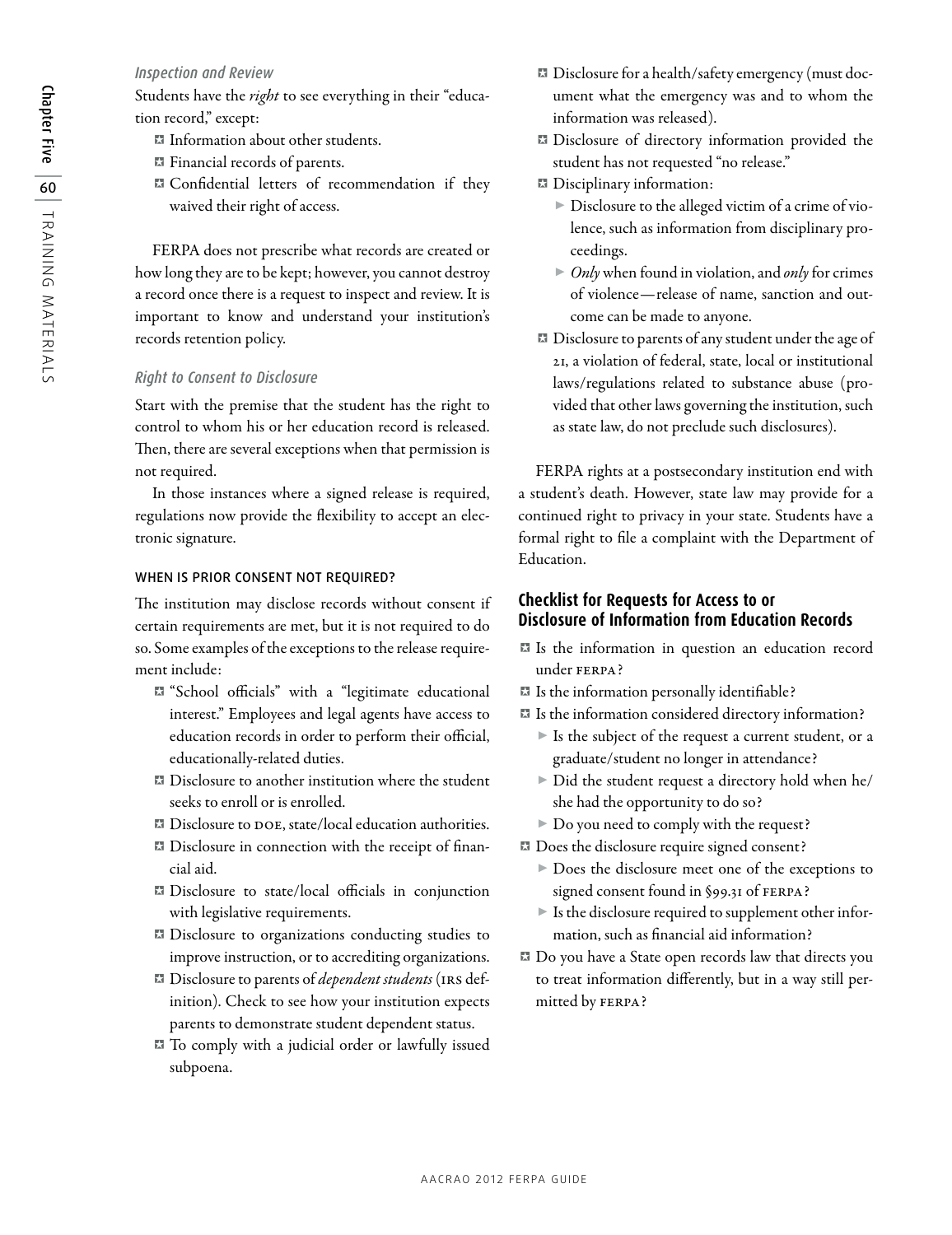*Inspection and Review*

Students have the *right* to see everything in their "education record," except:

- <sup>X</sup> Information about other students.
- <sup>X</sup> Financial records of parents.
- **X** Confidential letters of recommendation if they waived their right of access.

FERPA does not prescribe what records are created or how long they are to be kept; however, you cannot destroy a record once there is a request to inspect and review. It is important to know and understand your institution's records retention policy.

# *Right to Consent to Disclosure*

Start with the premise that the student has the right to control to whom his or her education record is released. Then, there are several exceptions when that permission is not required.

In those instances where a signed release is required, regulations now provide the flexibility to accept an electronic signature.

## WHEN IS PRIOR CONSENT NOT REQUIRED?

The institution may disclose records without consent if certain requirements are met, but it is not required to do so. Some examples of the exceptions to the release requirement include:

- <sup>X</sup> "School officials" with a "legitimate educational interest." Employees and legal agents have access to education records in order to perform their official, educationally-related duties.
- <sup>X</sup> Disclosure to another institution where the student seeks to enroll or is enrolled.
- **E** Disclosure to DOE, state/local education authorities.
- <sup>X</sup> Disclosure in connection with the receipt of financial aid.
- <sup>X</sup> Disclosure to state/local officials in conjunction with legislative requirements.
- <sup>X</sup> Disclosure to organizations conducting studies to improve instruction, or to accrediting organizations.
- <sup>X</sup> Disclosure to parents of *dependent students* (IRS definition). Check to see how your institution expects parents to demonstrate student dependent status.
- <sup>X</sup> To comply with a judicial order or lawfully issued subpoena.
- <sup>X</sup> Disclosure for a health/safety emergency (must document what the emergency was and to whom the information was released).
- <sup>X</sup> Disclosure of directory information provided the student has not requested "no release."
- <sup>X</sup> Disciplinary information:
	- ▶ Disclosure to the alleged victim of a crime of violence, such as information from disciplinary proceedings.
	- ▶ *Only* when found in violation, and *only* for crimes of violence—release of name, sanction and outcome can be made to anyone.
- <sup>X</sup> Disclosure to parents of any student under the age of 21, a violation of federal, state, local or institutional laws/regulations related to substance abuse (provided that other laws governing the institution, such as state law, do not preclude such disclosures).

FERPA rights at a postsecondary institution end with a student's death. However, state law may provide for a continued right to privacy in your state. Students have a formal right to file a complaint with the Department of Education.

# **Checklist for Requests for Access to or Disclosure of Information from Education Records**

- <sup>X</sup> Is the information in question an education record under FERPA?
- <sup>X</sup> Is the information personally identifiable?
- <sup>X</sup> Is the information considered directory information?
	- ▶ Is the subject of the request a current student, or a graduate/student no longer in attendance?
	- ▶ Did the student request a directory hold when he/ she had the opportunity to do so?
	- ▶ Do you need to comply with the request?
- <sup>X</sup> Does the disclosure require signed consent?
	- ▶ Does the disclosure meet one of the exceptions to signed consent found in §99.31 of FERPA?
	- $\blacktriangleright$  Is the disclosure required to supplement other information, such as financial aid information?
- <sup>X</sup> Do you have a State open records law that directs you to treat information differently, but in a way still permitted by FERPA?